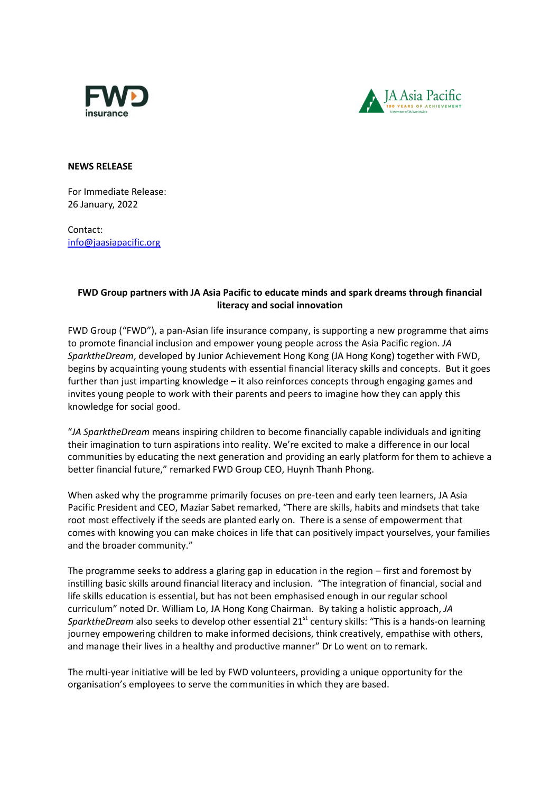



**NEWS RELEASE**

For Immediate Release: 26 January, 2022

Contact: [info@jaasiapacific.org](mailto:Winnie.ho@jaasiapacific.org)

## **FWD Group partners with JA Asia Pacific to educate minds and spark dreams through financial literacy and social innovation**

FWD Group ("FWD"), a pan-Asian life insurance company, is supporting a new programme that aims to promote financial inclusion and empower young people across the Asia Pacific region. *JA SparktheDream*, developed by Junior Achievement Hong Kong (JA Hong Kong) together with FWD, begins by acquainting young students with essential financial literacy skills and concepts. But it goes further than just imparting knowledge – it also reinforces concepts through engaging games and invites young people to work with their parents and peers to imagine how they can apply this knowledge for social good.

"*JA SparktheDream* means inspiring children to become financially capable individuals and igniting their imagination to turn aspirations into reality. We're excited to make a difference in our local communities by educating the next generation and providing an early platform for them to achieve a better financial future," remarked FWD Group CEO, Huynh Thanh Phong.

When asked why the programme primarily focuses on pre-teen and early teen learners, JA Asia Pacific President and CEO, Maziar Sabet remarked, "There are skills, habits and mindsets that take root most effectively if the seeds are planted early on. There is a sense of empowerment that comes with knowing you can make choices in life that can positively impact yourselves, your families and the broader community."

The programme seeks to address a glaring gap in education in the region – first and foremost by instilling basic skills around financial literacy and inclusion. "The integration of financial, social and life skills education is essential, but has not been emphasised enough in our regular school curriculum" noted Dr. William Lo, JA Hong Kong Chairman. By taking a holistic approach, *JA SparktheDream* also seeks to develop other essential 21<sup>st</sup> century skills: "This is a hands-on learning journey empowering children to make informed decisions, think creatively, empathise with others, and manage their lives in a healthy and productive manner" Dr Lo went on to remark.

The multi-year initiative will be led by FWD volunteers, providing a unique opportunity for the organisation's employees to serve the communities in which they are based.